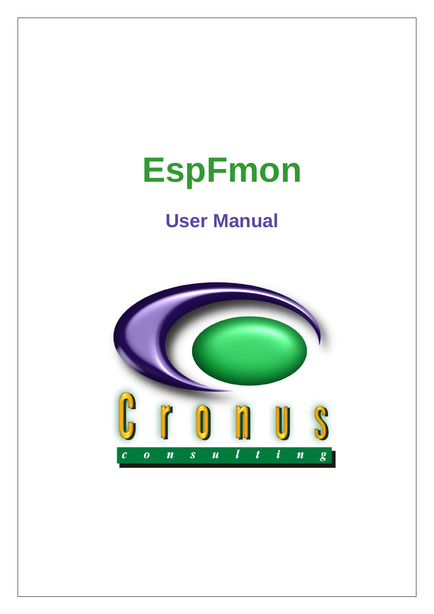# **EspFmon**

## **User Manual**

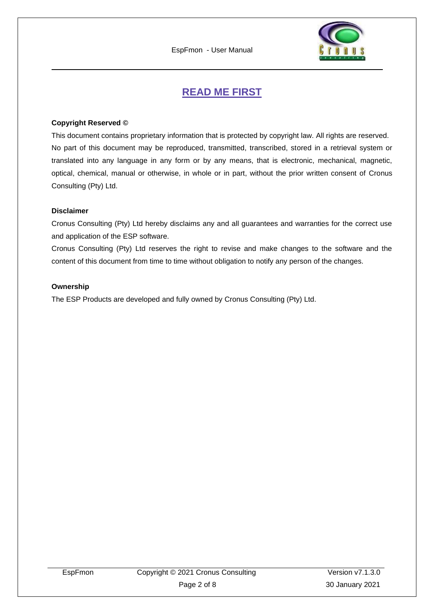

## **READ ME FIRST**

## <span id="page-1-0"></span>**Copyright Reserved ©**

This document contains proprietary information that is protected by copyright law. All rights are reserved. No part of this document may be reproduced, transmitted, transcribed, stored in a retrieval system or translated into any language in any form or by any means, that is electronic, mechanical, magnetic, optical, chemical, manual or otherwise, in whole or in part, without the prior written consent of Cronus Consulting (Pty) Ltd.

## **Disclaimer**

Cronus Consulting (Pty) Ltd hereby disclaims any and all guarantees and warranties for the correct use and application of the ESP software.

Cronus Consulting (Pty) Ltd reserves the right to revise and make changes to the software and the content of this document from time to time without obligation to notify any person of the changes.

## **Ownership**

The ESP Products are developed and fully owned by Cronus Consulting (Pty) Ltd.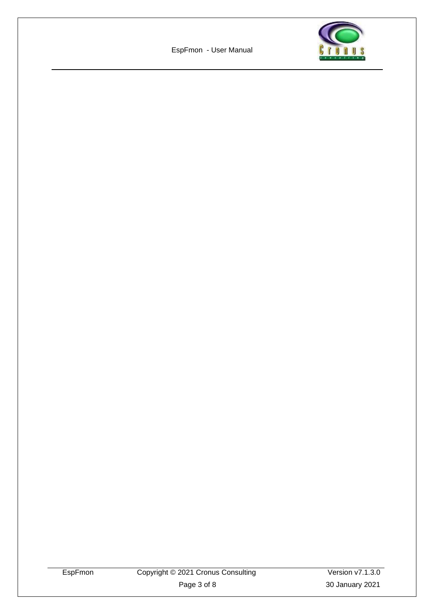EspFmon - User Manual

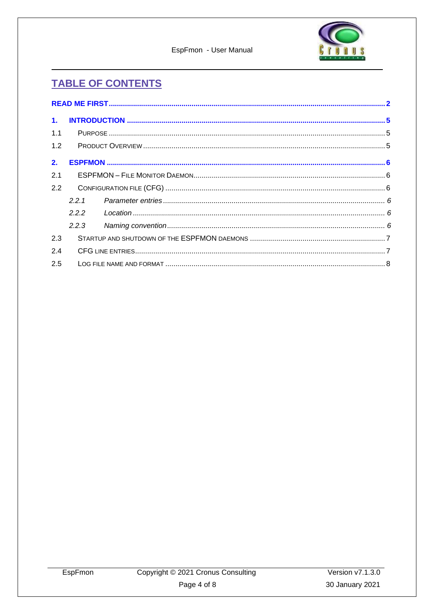EspFmon - User Manual



## **TABLE OF CONTENTS**

| 1 <sub>1</sub> |       |  |  |  |  |
|----------------|-------|--|--|--|--|
| 1.1            |       |  |  |  |  |
| 1.2            |       |  |  |  |  |
| 2.             |       |  |  |  |  |
| 2.1            |       |  |  |  |  |
| 2.2            |       |  |  |  |  |
|                | 221   |  |  |  |  |
|                | 222   |  |  |  |  |
|                | 2.2.3 |  |  |  |  |
| 2.3            |       |  |  |  |  |
| 2.4            |       |  |  |  |  |
| 2.5            |       |  |  |  |  |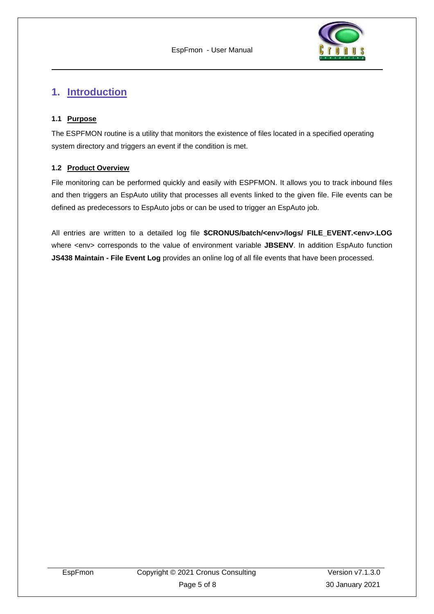

## <span id="page-4-0"></span>**1. Introduction**

## <span id="page-4-1"></span>**1.1 Purpose**

The ESPFMON routine is a utility that monitors the existence of files located in a specified operating system directory and triggers an event if the condition is met.

## <span id="page-4-2"></span>**1.2 Product Overview**

File monitoring can be performed quickly and easily with ESPFMON. It allows you to track inbound files and then triggers an EspAuto utility that processes all events linked to the given file. File events can be defined as predecessors to EspAuto jobs or can be used to trigger an EspAuto job.

All entries are written to a detailed log file **\$CRONUS/batch/<env>/logs/ FILE\_EVENT.<env>.LOG** where <env> corresponds to the value of environment variable JBSENV. In addition EspAuto function **JS438 Maintain - File Event Log** provides an online log of all file events that have been processed.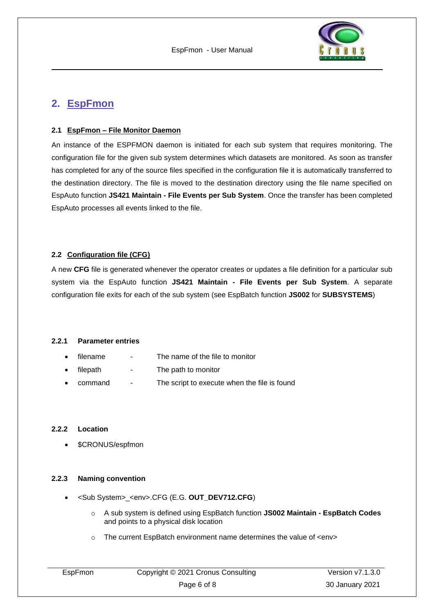

## <span id="page-5-0"></span>**2. EspFmon**

## <span id="page-5-1"></span>**2.1 EspFmon – File Monitor Daemon**

An instance of the ESPFMON daemon is initiated for each sub system that requires monitoring. The configuration file for the given sub system determines which datasets are monitored. As soon as transfer has completed for any of the source files specified in the configuration file it is automatically transferred to the destination directory. The file is moved to the destination directory using the file name specified on EspAuto function **JS421 Maintain - File Events per Sub System**. Once the transfer has been completed EspAuto processes all events linked to the file.

## <span id="page-5-2"></span>**2.2 Configuration file (CFG)**

A new **CFG** file is generated whenever the operator creates or updates a file definition for a particular sub system via the EspAuto function **JS421 Maintain - File Events per Sub System**. A separate configuration file exits for each of the sub system (see EspBatch function **JS002** for **SUBSYSTEMS**)

### <span id="page-5-3"></span>**2.2.1 Parameter entries**

- filename The name of the file to monitor
- filepath The path to monitor
- command The script to execute when the file is found

## <span id="page-5-4"></span>**2.2.2 Location**

• \$CRONUS/espfmon

### <span id="page-5-5"></span>**2.2.3 Naming convention**

- <Sub System>\_<env>.CFG (E.G. **OUT\_DEV712.CFG**)
	- o A sub system is defined using EspBatch function **JS002 Maintain - EspBatch Codes** and points to a physical disk location
	- o The current EspBatch environment name determines the value of <env>

| EspFmon | Copyright © 2021 Cronus Consulting | Version v7.1.3.0 |
|---------|------------------------------------|------------------|
|         | Page 6 of 8                        | 30 January 2021  |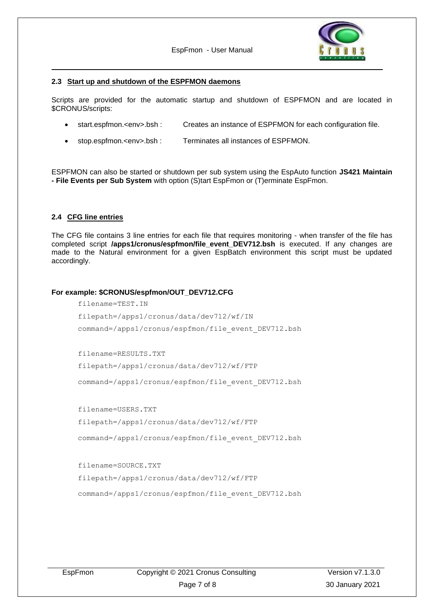

#### <span id="page-6-0"></span>**2.3 Start up and shutdown of the ESPFMON daemons**

Scripts are provided for the automatic startup and shutdown of ESPFMON and are located in \$CRONUS/scripts:

- start.espfmon.<env>.bsh : Creates an instance of ESPFMON for each configuration file.
- stop.espfmon.<env>.bsh : Terminates all instances of ESPFMON.

ESPFMON can also be started or shutdown per sub system using the EspAuto function **JS421 Maintain - File Events per Sub System** with option (S)tart EspFmon or (T)erminate EspFmon.

### <span id="page-6-1"></span>**2.4 CFG line entries**

The CFG file contains 3 line entries for each file that requires monitoring - when transfer of the file has completed script **/apps1/cronus/espfmon/file\_event\_DEV712.bsh** is executed. If any changes are made to the Natural environment for a given EspBatch environment this script must be updated accordingly.

#### **For example: \$CRONUS/espfmon/OUT\_DEV712.CFG**

```
filename=TEST.IN
filepath=/apps1/cronus/data/dev712/wf/IN
command=/apps1/cronus/espfmon/file_event_DEV712.bsh
```

```
filename=RESULTS.TXT
filepath=/apps1/cronus/data/dev712/wf/FTP
```
command=/apps1/cronus/espfmon/file\_event\_DEV712.bsh

```
filename=USERS.TXT
filepath=/apps1/cronus/data/dev712/wf/FTP
command=/apps1/cronus/espfmon/file_event_DEV712.bsh
```

```
filename=SOURCE.TXT
filepath=/apps1/cronus/data/dev712/wf/FTP
command=/apps1/cronus/espfmon/file_event_DEV712.bsh
```